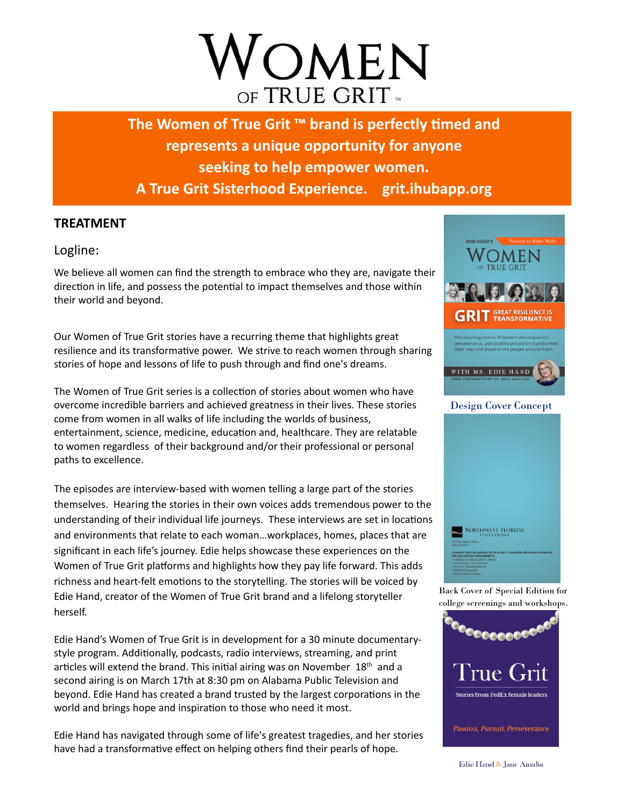# OMEN OF TRUE GRIT

The Women of True Grit <sup>™</sup> brand is perfectly timed and **represents a unique opportunity for anyone seeking to help empower women. A True Grit Sisterhood Experience. grit.ihubapp.org**

### **TREATMENT**

Logline:

We believe all women can find the strength to embrace who they are, navigate their direction in life, and possess the potential to impact themselves and those within their world and beyond.

Our Women of True Grit stories have a recurring theme that highlights great resilience and its transformative power. We strive to reach women through sharing stories of hope and lessons of life to push through and find one's dreams.

The Women of True Grit series is a collection of stories about women who have overcome incredible barriers and achieved greatness in their lives. These stories come from women in all walks of life including the worlds of business, entertainment, science, medicine, education and, healthcare. They are relatable to women regardless of their background and/or their professional or personal paths to excellence.

The episodes are interview-based with women telling a large part of the stories themselves. Hearing the stories in their own voices adds tremendous power to the understanding of their individual life journeys. These interviews are set in locations and environments that relate to each woman…workplaces, homes, places that are significant in each life's journey. Edie helps showcase these experiences on the Women of True Grit platforms and highlights how they pay life forward. This adds richness and heart-felt emotions to the storytelling. The stories will be voiced by Edie Hand, creator of the Women of True Grit brand and a lifelong storyteller herself.

Edie Hand's Women of True Grit is in development for a 30 minute documentarystyle program. Additionally, podcasts, radio interviews, streaming, and print articles will extend the brand. This initial airing was on November 18<sup>th</sup> and a second airing is on March 17th at 8:30 pm on Alabama Public Television and beyond. Edie Hand has created a brand trusted by the largest corporations in the world and brings hope and inspiration to those who need it most.

Edie Hand has navigated through some of life's greatest tragedies, and her stories have had a transformative effect on helping others find their pearls of hope.





Back Cover of Special Edition for college screenings and workshops.